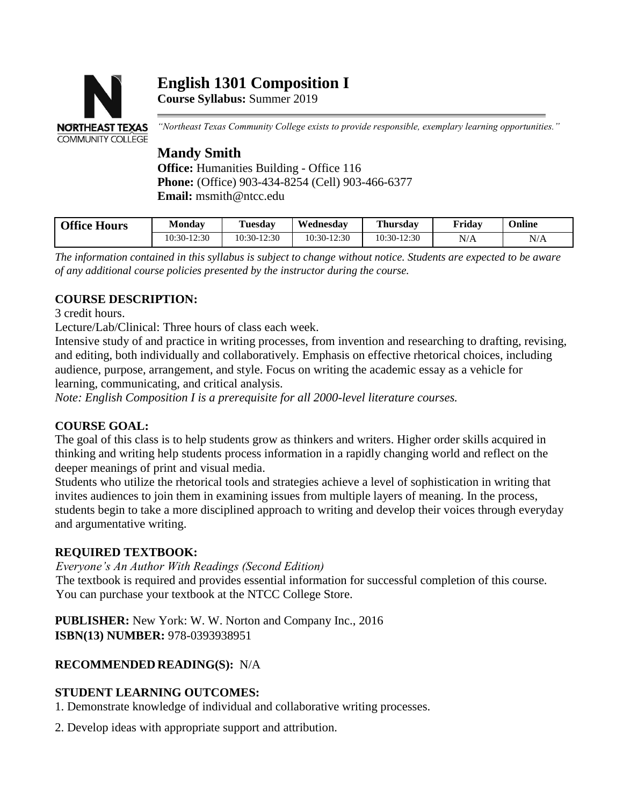# **English 1301 Composition I**



**Course Syllabus:** Summer 2019

*"Northeast Texas Community College exists to provide responsible, exemplary learning opportunities."*

## **Mandy Smith**

**Office:** Humanities Building - Office 116 **Phone:** (Office) 903-434-8254 (Cell) 903-466-6377 **Email:** msmith@ntcc.edu

| <b>Office Hours</b> | <b>Monday</b> | <b>Tuesday</b> | Wednesdav   | <b>Thursday</b> | Friday | Online |
|---------------------|---------------|----------------|-------------|-----------------|--------|--------|
|                     | 10:30-12:30   | $10:30-12:30$  | 10:30-12:30 | 10:30-12:30     | N/A    | N/A    |

*The information contained in this syllabus is subject to change without notice. Students are expected to be aware of any additional course policies presented by the instructor during the course.*

### **COURSE DESCRIPTION:**

3 credit hours.

Lecture/Lab/Clinical: Three hours of class each week.

Intensive study of and practice in writing processes, from invention and researching to drafting, revising, and editing, both individually and collaboratively. Emphasis on effective rhetorical choices, including audience, purpose, arrangement, and style. Focus on writing the academic essay as a vehicle for learning, communicating, and critical analysis.

*Note: English Composition I is a prerequisite for all 2000-level literature courses.*

#### **COURSE GOAL:**

The goal of this class is to help students grow as thinkers and writers. Higher order skills acquired in thinking and writing help students process information in a rapidly changing world and reflect on the deeper meanings of print and visual media.

Students who utilize the rhetorical tools and strategies achieve a level of sophistication in writing that invites audiences to join them in examining issues from multiple layers of meaning. In the process, students begin to take a more disciplined approach to writing and develop their voices through everyday and argumentative writing.

#### **REQUIRED TEXTBOOK:**

*Everyone's An Author With Readings (Second Edition)*

The textbook is required and provides essential information for successful completion of this course. You can purchase your textbook at the NTCC College Store.

**PUBLISHER:** New York: W. W. Norton and Company Inc., 2016 **ISBN(13) NUMBER:** 978-0393938951

### **RECOMMENDED READING(S):** N/A

#### **STUDENT LEARNING OUTCOMES:**

1. Demonstrate knowledge of individual and collaborative writing processes.

2. Develop ideas with appropriate support and attribution.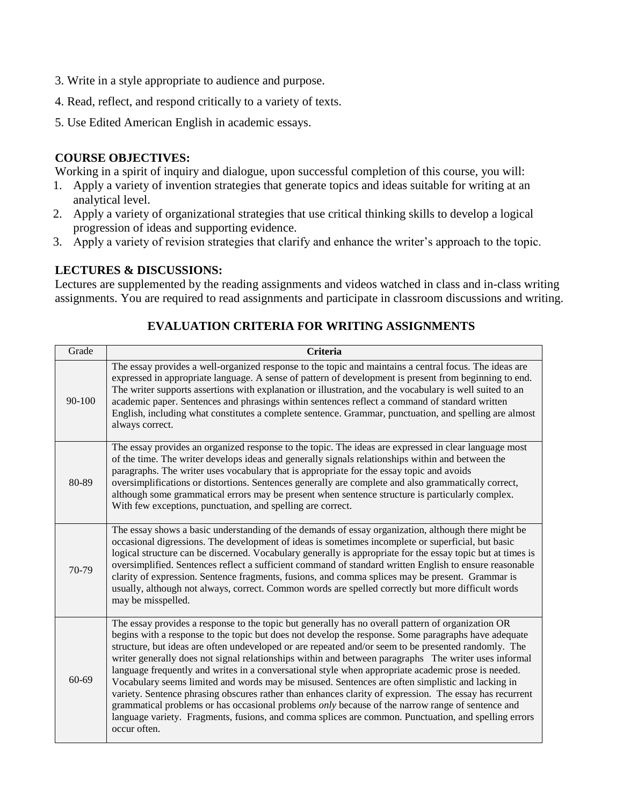- 3. Write in a style appropriate to audience and purpose.
- 4. Read, reflect, and respond critically to a variety of texts.
- 5. Use Edited American English in academic essays.

#### **COURSE OBJECTIVES:**

Working in a spirit of inquiry and dialogue, upon successful completion of this course, you will:

- 1. Apply a variety of invention strategies that generate topics and ideas suitable for writing at an analytical level.
- 2. Apply a variety of organizational strategies that use critical thinking skills to develop a logical progression of ideas and supporting evidence.
- 3. Apply a variety of revision strategies that clarify and enhance the writer's approach to the topic.

#### **LECTURES & DISCUSSIONS:**

Lectures are supplemented by the reading assignments and videos watched in class and in-class writing assignments. You are required to read assignments and participate in classroom discussions and writing.

#### Grade **Criteria** 90-100 The essay provides a well-organized response to the topic and maintains a central focus. The ideas are expressed in appropriate language. A sense of pattern of development is present from beginning to end. The writer supports assertions with explanation or illustration, and the vocabulary is well suited to an academic paper. Sentences and phrasings within sentences reflect a command of standard written English, including what constitutes a complete sentence. Grammar, punctuation, and spelling are almost always correct. 80-89 The essay provides an organized response to the topic. The ideas are expressed in clear language most of the time. The writer develops ideas and generally signals relationships within and between the paragraphs. The writer uses vocabulary that is appropriate for the essay topic and avoids oversimplifications or distortions. Sentences generally are complete and also grammatically correct, although some grammatical errors may be present when sentence structure is particularly complex. With few exceptions, punctuation, and spelling are correct. 70-79 The essay shows a basic understanding of the demands of essay organization, although there might be occasional digressions. The development of ideas is sometimes incomplete or superficial, but basic logical structure can be discerned. Vocabulary generally is appropriate for the essay topic but at times is oversimplified. Sentences reflect a sufficient command of standard written English to ensure reasonable clarity of expression. Sentence fragments, fusions, and comma splices may be present. Grammar is usually, although not always, correct. Common words are spelled correctly but more difficult words may be misspelled. 60-69 The essay provides a response to the topic but generally has no overall pattern of organization OR begins with a response to the topic but does not develop the response. Some paragraphs have adequate structure, but ideas are often undeveloped or are repeated and/or seem to be presented randomly. The writer generally does not signal relationships within and between paragraphs The writer uses informal language frequently and writes in a conversational style when appropriate academic prose is needed. Vocabulary seems limited and words may be misused. Sentences are often simplistic and lacking in variety. Sentence phrasing obscures rather than enhances clarity of expression. The essay has recurrent grammatical problems or has occasional problems *only* because of the narrow range of sentence and language variety. Fragments, fusions, and comma splices are common. Punctuation, and spelling errors occur often.

#### **EVALUATION CRITERIA FOR WRITING ASSIGNMENTS**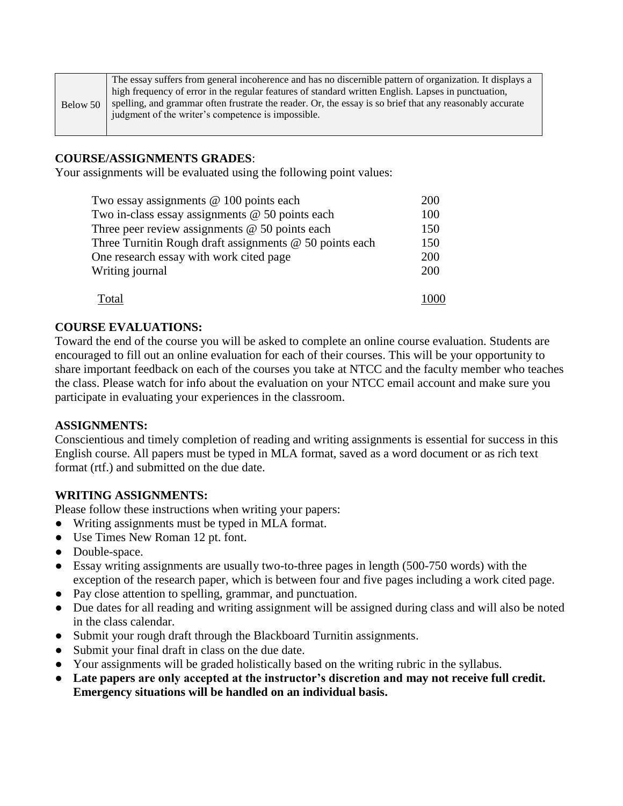|          | The essay suffers from general incoherence and has no discernible pattern of organization. It displays a |  |  |  |  |  |
|----------|----------------------------------------------------------------------------------------------------------|--|--|--|--|--|
|          | high frequency of error in the regular features of standard written English. Lapses in punctuation,      |  |  |  |  |  |
| Below 50 | spelling, and grammar often frustrate the reader. Or, the essay is so brief that any reasonably accurate |  |  |  |  |  |
|          | judgment of the writer's competence is impossible.                                                       |  |  |  |  |  |
|          |                                                                                                          |  |  |  |  |  |

#### **COURSE/ASSIGNMENTS GRADES**:

Your assignments will be evaluated using the following point values:

| Two essay assignments @ 100 points each                   | 200 |
|-----------------------------------------------------------|-----|
| Two in-class essay assignments $@$ 50 points each         | 100 |
| Three peer review assignments $@$ 50 points each          | 150 |
| Three Turnitin Rough draft assignments $@$ 50 points each | 150 |
| One research essay with work cited page                   | 200 |
| Writing journal                                           | 200 |
| Total                                                     |     |

#### **COURSE EVALUATIONS:**

Toward the end of the course you will be asked to complete an online course evaluation. Students are encouraged to fill out an online evaluation for each of their courses. This will be your opportunity to share important feedback on each of the courses you take at NTCC and the faculty member who teaches the class. Please watch for info about the evaluation on your NTCC email account and make sure you participate in evaluating your experiences in the classroom.

#### **ASSIGNMENTS:**

Conscientious and timely completion of reading and writing assignments is essential for success in this English course. All papers must be typed in MLA format, saved as a word document or as rich text format (rtf.) and submitted on the due date.

#### **WRITING ASSIGNMENTS:**

Please follow these instructions when writing your papers:

- Writing assignments must be typed in MLA format.
- Use Times New Roman 12 pt. font.
- Double-space.
- Essay writing assignments are usually two-to-three pages in length (500-750 words) with the exception of the research paper, which is between four and five pages including a work cited page.
- Pay close attention to spelling, grammar, and punctuation.
- Due dates for all reading and writing assignment will be assigned during class and will also be noted in the class calendar.
- Submit your rough draft through the Blackboard Turnitin assignments.
- Submit your final draft in class on the due date.
- Your assignments will be graded holistically based on the writing rubric in the syllabus.
- **Late papers are only accepted at the instructor's discretion and may not receive full credit. Emergency situations will be handled on an individual basis.**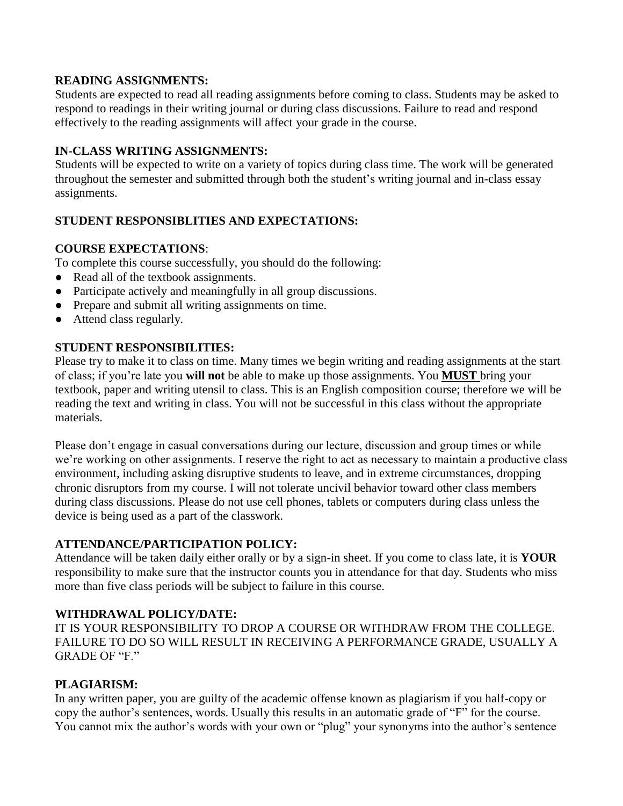#### **READING ASSIGNMENTS:**

Students are expected to read all reading assignments before coming to class. Students may be asked to respond to readings in their writing journal or during class discussions. Failure to read and respond effectively to the reading assignments will affect your grade in the course.

#### **IN-CLASS WRITING ASSIGNMENTS:**

Students will be expected to write on a variety of topics during class time. The work will be generated throughout the semester and submitted through both the student's writing journal and in-class essay assignments.

#### **STUDENT RESPONSIBLITIES AND EXPECTATIONS:**

#### **COURSE EXPECTATIONS**:

To complete this course successfully, you should do the following:

- Read all of the textbook assignments.
- Participate actively and meaningfully in all group discussions.
- Prepare and submit all writing assignments on time.
- Attend class regularly.

#### **STUDENT RESPONSIBILITIES:**

Please try to make it to class on time. Many times we begin writing and reading assignments at the start of class; if you're late you **will not** be able to make up those assignments. You **MUST** bring your textbook, paper and writing utensil to class. This is an English composition course; therefore we will be reading the text and writing in class. You will not be successful in this class without the appropriate materials.

Please don't engage in casual conversations during our lecture, discussion and group times or while we're working on other assignments. I reserve the right to act as necessary to maintain a productive class environment, including asking disruptive students to leave, and in extreme circumstances, dropping chronic disruptors from my course. I will not tolerate uncivil behavior toward other class members during class discussions. Please do not use cell phones, tablets or computers during class unless the device is being used as a part of the classwork.

#### **ATTENDANCE/PARTICIPATION POLICY:**

Attendance will be taken daily either orally or by a sign-in sheet. If you come to class late, it is **YOUR**  responsibility to make sure that the instructor counts you in attendance for that day. Students who miss more than five class periods will be subject to failure in this course.

#### **WITHDRAWAL POLICY/DATE:**

IT IS YOUR RESPONSIBILITY TO DROP A COURSE OR WITHDRAW FROM THE COLLEGE. FAILURE TO DO SO WILL RESULT IN RECEIVING A PERFORMANCE GRADE, USUALLY A GRADE OF "F."

#### **PLAGIARISM:**

In any written paper, you are guilty of the academic offense known as plagiarism if you half-copy or copy the author's sentences, words. Usually this results in an automatic grade of "F" for the course. You cannot mix the author's words with your own or "plug" your synonyms into the author's sentence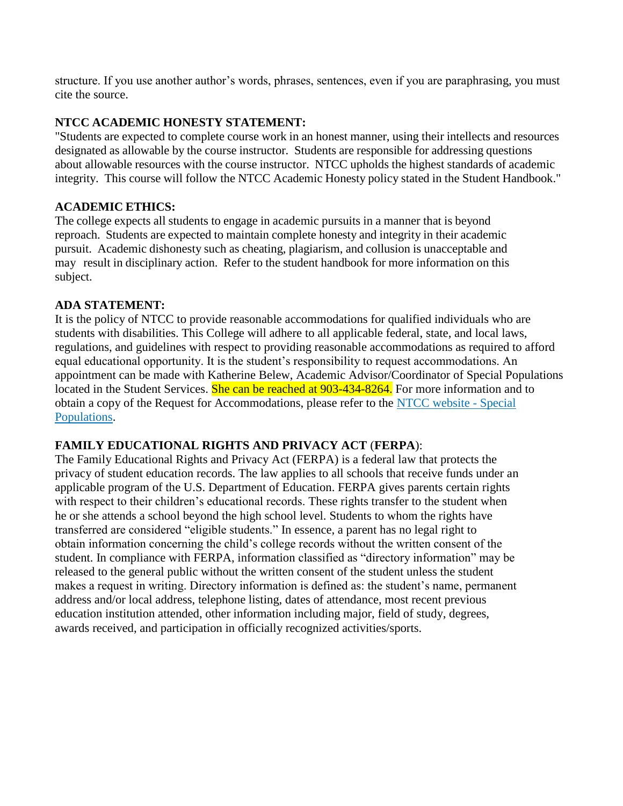structure. If you use another author's words, phrases, sentences, even if you are paraphrasing, you must cite the source.

#### **NTCC ACADEMIC HONESTY STATEMENT:**

"Students are expected to complete course work in an honest manner, using their intellects and resources designated as allowable by the course instructor. Students are responsible for addressing questions about allowable resources with the course instructor. NTCC upholds the highest standards of academic integrity. This course will follow the NTCC Academic Honesty policy stated in the Student Handbook."

#### **ACADEMIC ETHICS:**

The college expects all students to engage in academic pursuits in a manner that is beyond reproach. Students are expected to maintain complete honesty and integrity in their academic pursuit. Academic dishonesty such as cheating, plagiarism, and collusion is unacceptable and may result in disciplinary action. Refer to the student handbook for more information on this subject.

#### **ADA STATEMENT:**

It is the policy of NTCC to provide reasonable accommodations for qualified individuals who are students with disabilities. This College will adhere to all applicable federal, state, and local laws, regulations, and guidelines with respect to providing reasonable accommodations as required to afford equal educational opportunity. It is the student's responsibility to request accommodations. An appointment can be made with Katherine Belew, Academic Advisor/Coordinator of Special Populations located in the Student Services. She can be reached at 903-434-8264. For more information and to obtain a copy of the Request for Accommodations, please refer to the [NTCC website -](http://www.ntcc.edu/index.php?module=Pagesetter&func=viewpub&tid=111&pid=1) Special [Populations.](http://www.ntcc.edu/index.php?module=Pagesetter&func=viewpub&tid=111&pid=1)

#### **FAMILY EDUCATIONAL RIGHTS AND PRIVACY ACT** (**FERPA**):

The Family Educational Rights and Privacy Act (FERPA) is a federal law that protects the privacy of student education records. The law applies to all schools that receive funds under an applicable program of the U.S. Department of Education. FERPA gives parents certain rights with respect to their children's educational records. These rights transfer to the student when he or she attends a school beyond the high school level. Students to whom the rights have transferred are considered "eligible students." In essence, a parent has no legal right to obtain information concerning the child's college records without the written consent of the student. In compliance with FERPA, information classified as "directory information" may be released to the general public without the written consent of the student unless the student makes a request in writing. Directory information is defined as: the student's name, permanent address and/or local address, telephone listing, dates of attendance, most recent previous education institution attended, other information including major, field of study, degrees, awards received, and participation in officially recognized activities/sports.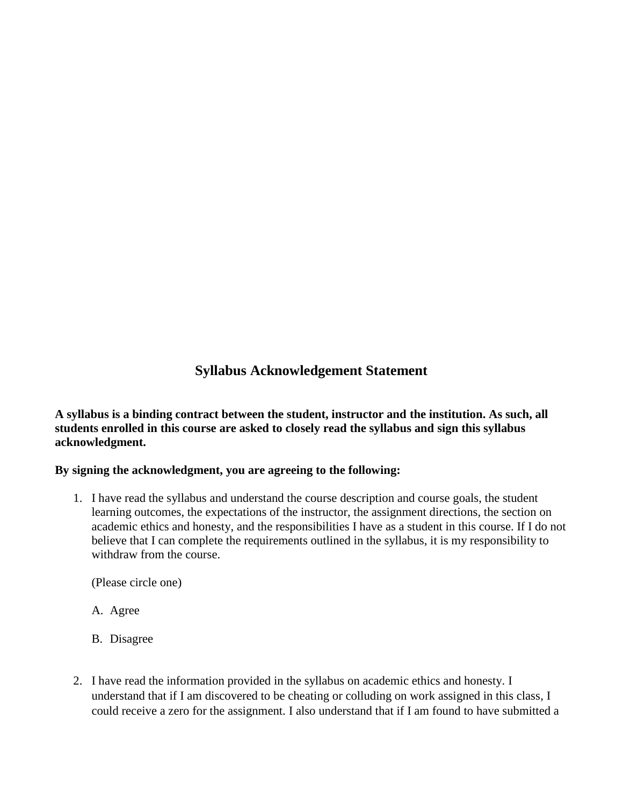## **Syllabus Acknowledgement Statement**

**A syllabus is a binding contract between the student, instructor and the institution. As such, all students enrolled in this course are asked to closely read the syllabus and sign this syllabus acknowledgment.** 

#### **By signing the acknowledgment, you are agreeing to the following:**

1. I have read the syllabus and understand the course description and course goals, the student learning outcomes, the expectations of the instructor, the assignment directions, the section on academic ethics and honesty, and the responsibilities I have as a student in this course. If I do not believe that I can complete the requirements outlined in the syllabus, it is my responsibility to withdraw from the course.

(Please circle one)

- A. Agree
- B. Disagree
- 2. I have read the information provided in the syllabus on academic ethics and honesty. I understand that if I am discovered to be cheating or colluding on work assigned in this class, I could receive a zero for the assignment. I also understand that if I am found to have submitted a